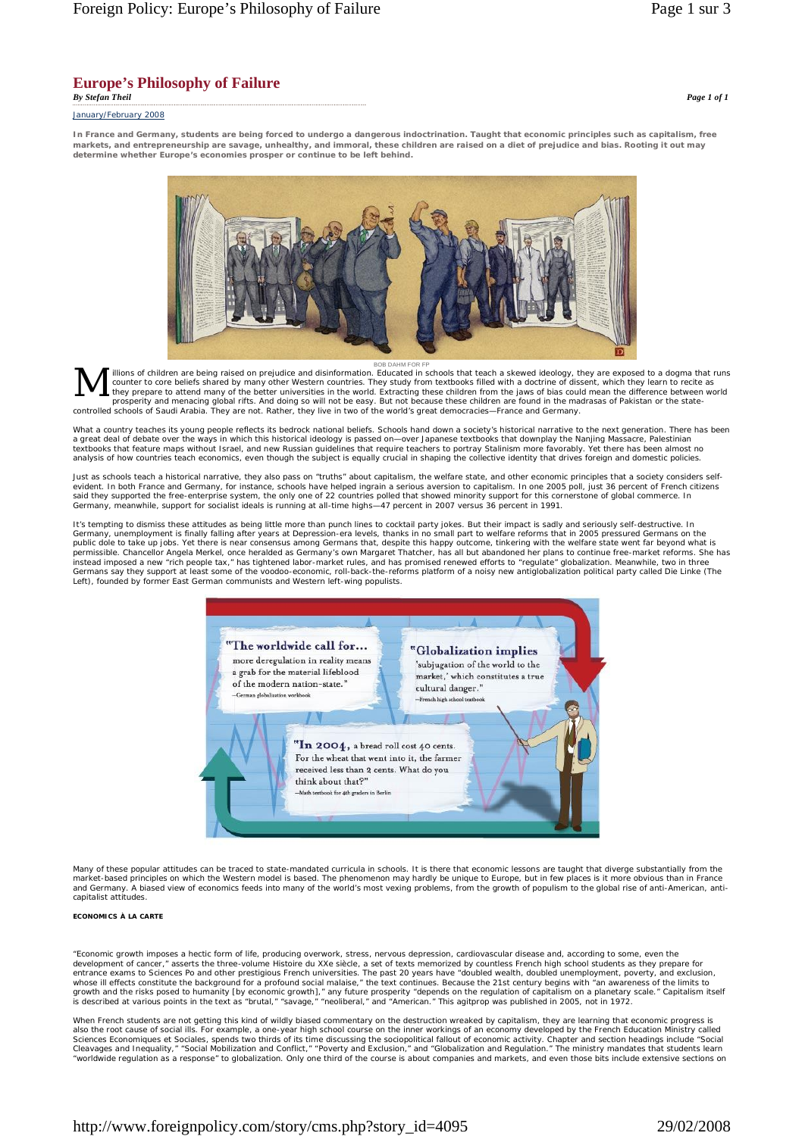# **Europe's Philosophy of Failure**

January/February 2008

*By Stefan Theil Page 1 of 1*

**In France and Germany, students are being forced to undergo a dangerous indoctrination. Taught that economic principles such as capitalism, free markets, and entrepreneurship are savage, unhealthy, and immoral, these children are raised on a diet of prejudice and bias. Rooting it out may determine whether Europe's economies prosper or continue to be left behind.** 



вов ранм FOR FP<br>illions of children are being raised on prejudice and disinformation. Educated in schools that teach a skewed ideology, they are exposed to a dogma that runs<br>counter to core beliefs shared by many other We they prepare to attend many of the better universities in the world. Extracting these children from the jaws of bias could mean the difference between world<br>prosperity and menacing global rifts. And doing so will not be ea controlled schools of Saudi Arabia. They are not. Rather, they live in two of the world's great democracies—France and Germany. M

What a country teaches its young people reflects its bedrock national beliefs. Schools hand down a society's historical narrative to the next generation. There has been<br>a great deal of debate over the ways in which this hi textbooks that feature maps without Israel, and new Russian guidelines that require teachers to portray Stalinism more favorably. Yet there has been almost no<br>analysis of how countries teach economics, even though the subj

Just as schools teach a historical narrative, they also pass on "truths" about capitalism, the welfare state, and other economic principles that a society considers selfevident. In both France and Germany, for instance, schools have helped ingrain a serious aversion to capitalism. In one 2005 poll, just 36 percent of French citizens<br>said they supported the free-enterprise system, the only Germany, meanwhile, support for socialist ideals is running at all-time highs—47 percent in 2007 versus 36 percent in 1991.

It's tempting to dismiss these attitudes as being little more than punch lines to cocktail party jokes. But their impact is sadly and seriously self-destructive. In<br>Germany, unemployment is finally falling after years at D public dole to take up jobs. Yet there is near consensus among Germans that, despite this happy outcome, tinkering with the welfare state went far beyond what is<br>permissible. Chancellor Angela Merkel, once heralded as Germ instead imposed a new "rich people tax," has tightened labor-market rules, and has promised renewed efforts to "regulate" globalization. Meanwhile, two in three<br>Germans say they support at least some of the voodoo-economic Left), founded by former East German communists and Western left-wing populists.



Many of these popular attitudes can be traced to state-mandated curricula in schools. It is there that economic lessons are taught that diverge substantially from the market-based principles on which the Western model is based. The phenomenon may hardly be unique to Europe, but in few places is it more obvious than in France and Germany. A biased view of economics feeds into many of the world's most vexing problems, from the growth of populism to the global rise of anti-American, anticapitalist attitudes.

### **ECONOMICS À LA CARTE**

"Economic growth imposes a hectic form of life, producing overwork, stress, nervous depression, cardiovascular disease and, according to some, even the development of cancer," asserts the three-volume *Histoire du XXe siècle,* a set of texts memorized by countless French high school students as they prepare for<br>entrance exams to Sciences Po and other prestigious French un growth and the risks posed to humanity [by economic growth]," any future prosperity "depends on the regulation of capitalism on a planetary scale." Capitalism itself<br>is described at various points in the text as "brutal,"

When French students are not getting this kind of wildly biased commentary on the destruction wreaked by capitalism, they are learning that economic progress is<br>also the root cause of social ills. For example, a one-year h *Sciences Economiques et Sociales*, spends two thirds of its time discussing the sociopolitical fallout of economic activity. Chapter and section headings include "Social<br>Cleavages and Inequality," "Social Mobilization and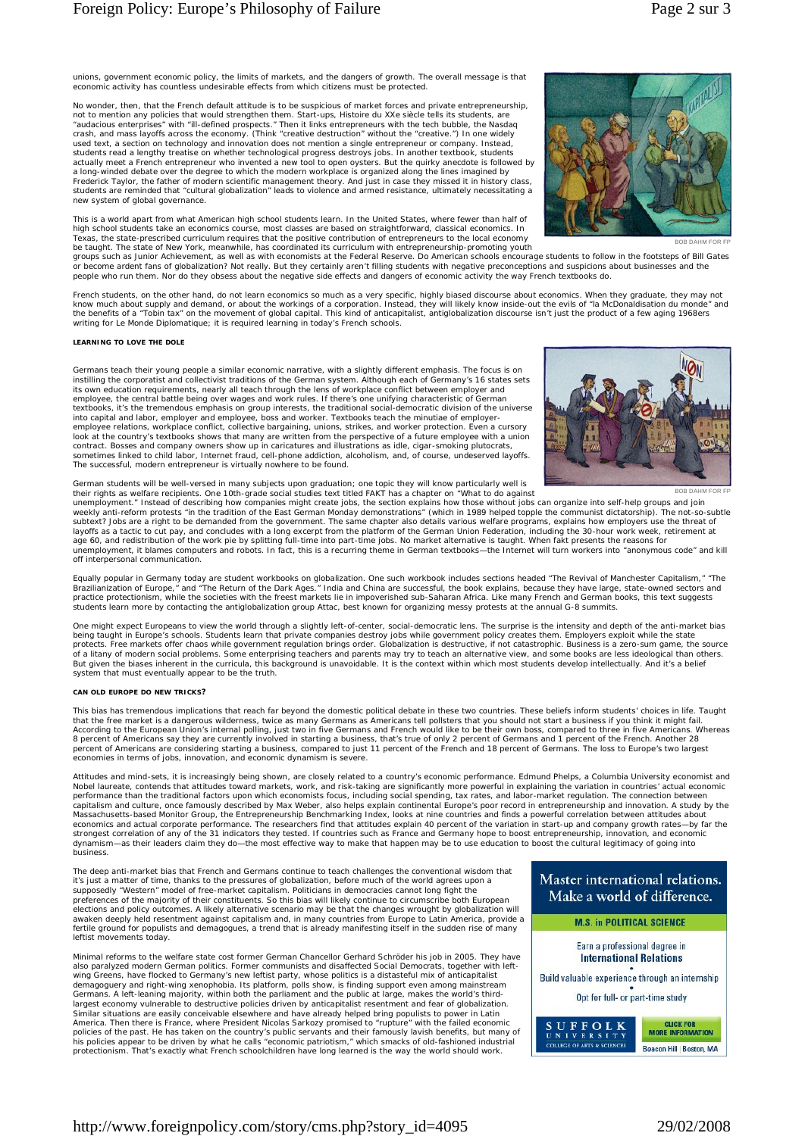unions, government economic policy, the limits of markets, and the dangers of growth. The overall message is that economic activity has countless undesirable effects from which citizens must be protected.

No wonder, then, that the French default attitude is to be suspicious of market forces and private entrepreneurship, not to mention any policies that would strengthen them. Start-ups, *Histoire du XXe siècle* tells its students, are<br>"audacious enterprises" with "ill-defined prospects." Then it links entrepreneurs with the tech bubble, th students read a lengthy treatise on whether technological progress destroys jobs. In another textbook, students<br>actually meet a French entrepreneur who invented a new tool to open oysters. But the quirky anecdote is follow a long-winded debate over the degree to which the modern workplace is organized along the lines imagined by<br>Frederick Taylor, the father of modern scientific management theory. And just in case they missed it in history cl new system of global governance.

This is a world apart from what American high school students learn. In the United States, where fewer than half of high school students take an economics course, most classes are based on straightforward, classical economics. In<br>Texas, the state-prescribed curriculum requires that the positive contribution of entrepreneurs to the local be taught. The state of New York, meanwhile, has coordinated its curriculum with entrepreneurship-promoting youth



BOB DAHM FOR FP

groups such as Junior Achievement, as well as with economists at the Federal Reserve. Do American schools encourage students to follow in the footsteps of Bill Gates or become ardent fans of globalization? Not really. But they certainly aren't filling students with negative preconceptions and suspicions about businesses and the<br>people who run them. Nor do they obsess about the negative

French students, on the other hand, do not learn economics so much as a very specific, highly biased discourse *about* economics. When they graduate, they may not<br>know much about supply and demand, or about the workings of the benefits of a "Tobin tax" on the movement of global capital. This kind of anticapitalist, antiglobalization discourse isn't just the product of a few aging 1968ers writing for *Le Monde Diplomatique*; it is required learning in today's French schools.

#### **LEARNING TO LOVE THE DOLE**

Germans teach their young people a similar economic narrative, with a slightly different emphasis. The focus is on instilling the corporatist and collectivist traditions of the German system. Although each of Germany's 16 states sets<br>its own education requirements, nearly all teach through the lens of workplace conflict between employe employee, the central battle being over wages and work rules. If there's one unifying characteristic of German<br>textbooks, it's the tremendous emphasis on group interests, the traditional social-democratic division of the u employee relations, workplace conflict, collective bargaining, unions, strikes, and worker protection. Even a cursory<br>look at the country's textbooks shows that many are written from the perspective of a future employee wi contract. Bosses and company owners show up in caricatures and illustrations as idle, cigar-smoking plutocrats,<br>sometimes linked to child labor, Internet fraud, cell-phone addiction, alcoholism, and, of course, undeserved



German students will be well-versed in many subjects upon graduation; one topic they will know particularly well is<br>their rights as welfare recipients. One 10th-grade social studies text titled FAKT has a chapter on "What

unemployment." Instead of describing how companies might create jobs, the section explains how those without jobs can organize into self-help groups and join<br>suekly anti-reform protests "in the tradition of the East German age 60, and redistribution of the work pie by splitting full-time into part-time jobs. No market alternative is taught. When fakt presents the reasons for<br>unemployment, it blames computers and robots. In fact, this is a re off interpersonal communication.

Equally popular in Germany today are student workbooks on globalization. One such workbook includes sections headed "The Revival of Manchester Capitalism," "The<br>Brazilianization of Europe," and "The Return of the Dark Ages practice protectionism, while the societies with the freest markets lie in impoverished sub-Saharan Africa. Like many French and German books, this text suggests<br>students learn more by contacting the antiglobalization grou

One might expect Europeans to view the world through a slightly left-of-center, social-democratic lens. The surprise is the intensity and depth of the anti-market bias<br>being taught in Europe's schools. Students learn that of a litany of modern social problems. Some enterprising teachers and parents may try to teach an alternative view, and some books are less ideological than others.<br>But given the biases inherent in the curricula, this back system that must eventually appear to be the truth.

#### **CAN OLD EUROPE DO NEW TRICKS?**

This bias has tremendous implications that reach far beyond the domestic political debate in these two countries. These beliefs inform students' choices in life. Taught<br>that the free market is a dangerous wilderness, twice According to the European Union's internal polling, just two in five Germans and French would like to be their own boss, compared to three in five Americans. Whereas<br>8 percent of Americans say they are currently involved i percent of Americans are considering starting a business, compared to just 11 percent of the French and 18 percent of Germans. The loss to Europe's two largest economies in terms of jobs, innovation, and economic dynamism is severe.

Attitudes and mind-sets, it is increasingly being shown, are closely related to a country's economic performance. Edmund Phelps, a Columbia University economist and Nobel laureate, contends that attitudes toward markets, work, and risk-taking are significantly more powerful in explaining the variation in countries' actual economic<br>performance than the traditional factors upon which ec dynamism—as their leaders claim they do—the most effective way to make that happen may be to use education to boost the cultural legitimacy of going into business.

The deep anti-market bias that French and Germans continue to teach challenges the conventional wisdom that it's just a matter of time, thanks to the pressures of globalization, before much of the world agrees upon a supposedly "Western" model of free-market capitalism. Politicians in democracies cannot long fight the preferences of the majority of their constituents. So this bias will likely continue to circumscribe both European<br>elections and policy outcomes. A likely alternative scenario may be that the changes wrought by globalizati awaken deeply held resentment against capitalism and, in many countries from Europe to Latin America, provide a fertile ground for populists and demagogues, a trend that is already manifesting itself in the sudden rise of many leftist movements today.

Minimal reforms to the welfare state cost former German Chancellor Gerhard Schröder his job in 2005. They have also paralyzed modern German politics. Former communists and disaffected Social Democrats, together with leftwing Greens, have flocked to Germany's new leftist party, whose politics is a distasteful mix of anticapitalist demagoguery and right-wing xenophobia. Its platform, polls show, is finding support even among mainstream Germans. A left-leaning majority, within both the parliament and the public at large, makes the world's third-<br>largest economy vulnerable to destructive policies driven by anticapitalist resentment and fear of globalizatio protectionism. That's exactly what French schoolchildren have long learned is the way the world should work.

## Master international relations. Make a world of difference.





Build valuable experience through an internship

Opt for full- or part-time study